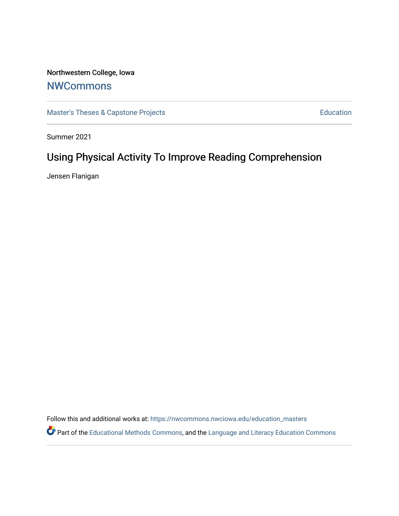# Northwestern College, Iowa

# **[NWCommons](https://nwcommons.nwciowa.edu/)**

[Master's Theses & Capstone Projects](https://nwcommons.nwciowa.edu/education_masters) **Education** Education

Summer 2021

# Using Physical Activity To Improve Reading Comprehension

Jensen Flanigan

Follow this and additional works at: [https://nwcommons.nwciowa.edu/education\\_masters](https://nwcommons.nwciowa.edu/education_masters?utm_source=nwcommons.nwciowa.edu%2Feducation_masters%2F329&utm_medium=PDF&utm_campaign=PDFCoverPages)

Part of the [Educational Methods Commons,](http://network.bepress.com/hgg/discipline/1227?utm_source=nwcommons.nwciowa.edu%2Feducation_masters%2F329&utm_medium=PDF&utm_campaign=PDFCoverPages) and the Language and Literacy Education Commons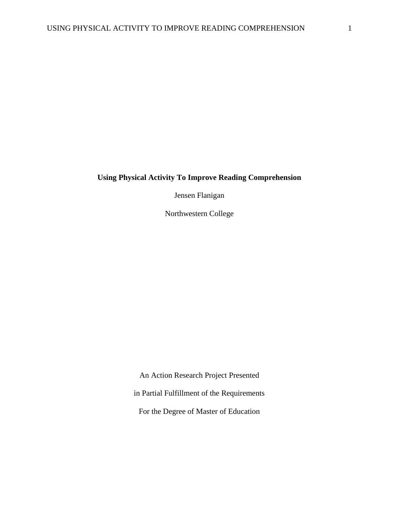# **Using Physical Activity To Improve Reading Comprehension**

Jensen Flanigan

Northwestern College

An Action Research Project Presented in Partial Fulfillment of the Requirements For the Degree of Master of Education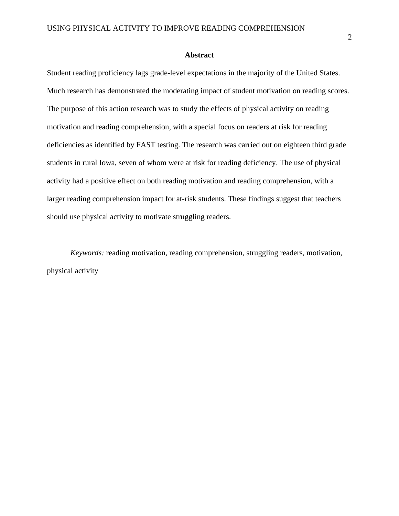#### **Abstract**

<span id="page-2-0"></span>Student reading proficiency lags grade-level expectations in the majority of the United States. Much research has demonstrated the moderating impact of student motivation on reading scores. The purpose of this action research was to study the effects of physical activity on reading motivation and reading comprehension, with a special focus on readers at risk for reading deficiencies as identified by FAST testing. The research was carried out on eighteen third grade students in rural Iowa, seven of whom were at risk for reading deficiency. The use of physical activity had a positive effect on both reading motivation and reading comprehension, with a larger reading comprehension impact for at-risk students. These findings suggest that teachers should use physical activity to motivate struggling readers.

*Keywords:* reading motivation, reading comprehension, struggling readers, motivation, physical activity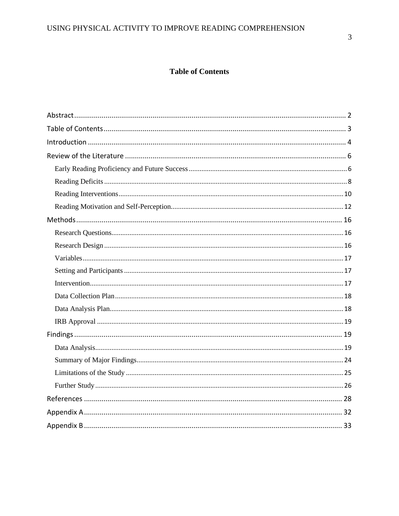# **Table of Contents**

<span id="page-3-0"></span>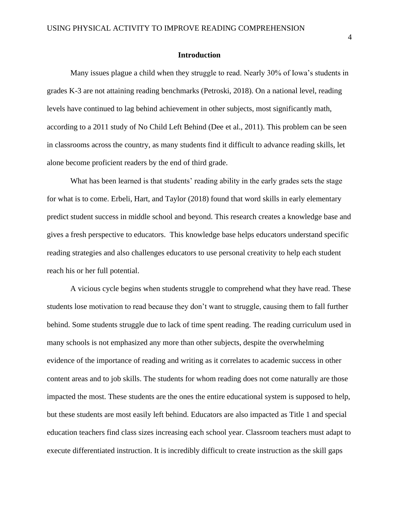#### **Introduction**

<span id="page-4-0"></span>Many issues plague a child when they struggle to read. Nearly 30% of Iowa's students in grades K-3 are not attaining reading benchmarks (Petroski, 2018). On a national level, reading levels have continued to lag behind achievement in other subjects, most significantly math, according to a 2011 study of No Child Left Behind (Dee et al., 2011). This problem can be seen in classrooms across the country, as many students find it difficult to advance reading skills, let alone become proficient readers by the end of third grade.

What has been learned is that students' reading ability in the early grades sets the stage for what is to come. Erbeli, Hart, and Taylor (2018) found that word skills in early elementary predict student success in middle school and beyond. This research creates a knowledge base and gives a fresh perspective to educators. This knowledge base helps educators understand specific reading strategies and also challenges educators to use personal creativity to help each student reach his or her full potential.

A vicious cycle begins when students struggle to comprehend what they have read. These students lose motivation to read because they don't want to struggle, causing them to fall further behind. Some students struggle due to lack of time spent reading. The reading curriculum used in many schools is not emphasized any more than other subjects, despite the overwhelming evidence of the importance of reading and writing as it correlates to academic success in other content areas and to job skills. The students for whom reading does not come naturally are those impacted the most. These students are the ones the entire educational system is supposed to help, but these students are most easily left behind. Educators are also impacted as Title 1 and special education teachers find class sizes increasing each school year. Classroom teachers must adapt to execute differentiated instruction. It is incredibly difficult to create instruction as the skill gaps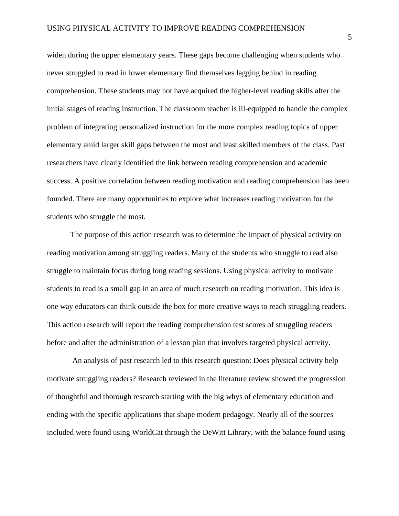widen during the upper elementary years. These gaps become challenging when students who never struggled to read in lower elementary find themselves lagging behind in reading comprehension. These students may not have acquired the higher-level reading skills after the initial stages of reading instruction. The classroom teacher is ill-equipped to handle the complex problem of integrating personalized instruction for the more complex reading topics of upper elementary amid larger skill gaps between the most and least skilled members of the class. Past researchers have clearly identified the link between reading comprehension and academic success. A positive correlation between reading motivation and reading comprehension has been founded. There are many opportunities to explore what increases reading motivation for the students who struggle the most.

The purpose of this action research was to determine the impact of physical activity on reading motivation among struggling readers. Many of the students who struggle to read also struggle to maintain focus during long reading sessions. Using physical activity to motivate students to read is a small gap in an area of much research on reading motivation. This idea is one way educators can think outside the box for more creative ways to reach struggling readers. This action research will report the reading comprehension test scores of struggling readers before and after the administration of a lesson plan that involves targeted physical activity.

An analysis of past research led to this research question: Does physical activity help motivate struggling readers? Research reviewed in the literature review showed the progression of thoughtful and thorough research starting with the big whys of elementary education and ending with the specific applications that shape modern pedagogy. Nearly all of the sources included were found using WorldCat through the DeWitt Library, with the balance found using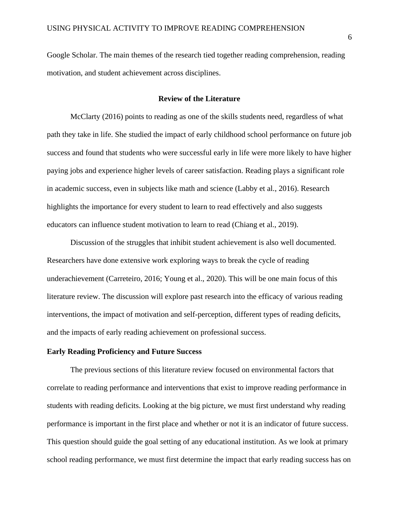Google Scholar. The main themes of the research tied together reading comprehension, reading motivation, and student achievement across disciplines.

# **Review of the Literature**

<span id="page-6-0"></span>McClarty (2016) points to reading as one of the skills students need, regardless of what path they take in life. She studied the impact of early childhood school performance on future job success and found that students who were successful early in life were more likely to have higher paying jobs and experience higher levels of career satisfaction. Reading plays a significant role in academic success, even in subjects like math and science (Labby et al., 2016). Research highlights the importance for every student to learn to read effectively and also suggests educators can influence student motivation to learn to read (Chiang et al., 2019).

Discussion of the struggles that inhibit student achievement is also well documented. Researchers have done extensive work exploring ways to break the cycle of reading underachievement (Carreteiro, 2016; Young et al., 2020). This will be one main focus of this literature review. The discussion will explore past research into the efficacy of various reading interventions, the impact of motivation and self-perception, different types of reading deficits, and the impacts of early reading achievement on professional success.

# <span id="page-6-1"></span>**Early Reading Proficiency and Future Success**

The previous sections of this literature review focused on environmental factors that correlate to reading performance and interventions that exist to improve reading performance in students with reading deficits. Looking at the big picture, we must first understand why reading performance is important in the first place and whether or not it is an indicator of future success. This question should guide the goal setting of any educational institution. As we look at primary school reading performance, we must first determine the impact that early reading success has on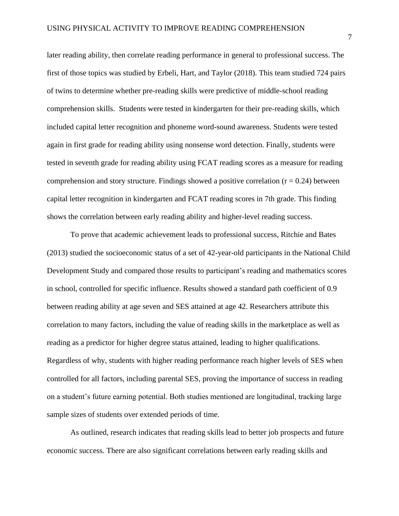later reading ability, then correlate reading performance in general to professional success. The first of those topics was studied by Erbeli, Hart, and Taylor (2018). This team studied 724 pairs of twins to determine whether pre-reading skills were predictive of middle-school reading comprehension skills. Students were tested in kindergarten for their pre-reading skills, which included capital letter recognition and phoneme word-sound awareness. Students were tested again in first grade for reading ability using nonsense word detection. Finally, students were tested in seventh grade for reading ability using FCAT reading scores as a measure for reading comprehension and story structure. Findings showed a positive correlation  $(r = 0.24)$  between capital letter recognition in kindergarten and FCAT reading scores in 7th grade. This finding shows the correlation between early reading ability and higher-level reading success.

To prove that academic achievement leads to professional success, Ritchie and Bates (2013) studied the socioeconomic status of a set of 42-year-old participants in the National Child Development Study and compared those results to participant's reading and mathematics scores in school, controlled for specific influence. Results showed a standard path coefficient of 0.9 between reading ability at age seven and SES attained at age 42. Researchers attribute this correlation to many factors, including the value of reading skills in the marketplace as well as reading as a predictor for higher degree status attained, leading to higher qualifications. Regardless of why, students with higher reading performance reach higher levels of SES when controlled for all factors, including parental SES, proving the importance of success in reading on a student's future earning potential. Both studies mentioned are longitudinal, tracking large sample sizes of students over extended periods of time.

As outlined, research indicates that reading skills lead to better job prospects and future economic success. There are also significant correlations between early reading skills and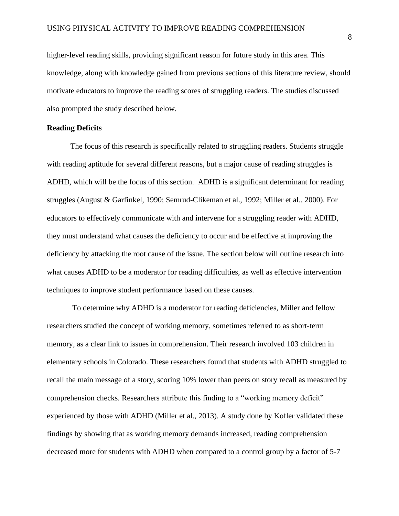higher-level reading skills, providing significant reason for future study in this area. This knowledge, along with knowledge gained from previous sections of this literature review, should motivate educators to improve the reading scores of struggling readers. The studies discussed also prompted the study described below.

### <span id="page-8-0"></span>**Reading Deficits**

The focus of this research is specifically related to struggling readers. Students struggle with reading aptitude for several different reasons, but a major cause of reading struggles is ADHD, which will be the focus of this section. ADHD is a significant determinant for reading struggles (August & Garfinkel, 1990; Semrud-Clikeman et al., 1992; Miller et al., 2000). For educators to effectively communicate with and intervene for a struggling reader with ADHD, they must understand what causes the deficiency to occur and be effective at improving the deficiency by attacking the root cause of the issue. The section below will outline research into what causes ADHD to be a moderator for reading difficulties, as well as effective intervention techniques to improve student performance based on these causes.

To determine why ADHD is a moderator for reading deficiencies, Miller and fellow researchers studied the concept of working memory, sometimes referred to as short-term memory, as a clear link to issues in comprehension. Their research involved 103 children in elementary schools in Colorado. These researchers found that students with ADHD struggled to recall the main message of a story, scoring 10% lower than peers on story recall as measured by comprehension checks. Researchers attribute this finding to a "working memory deficit" experienced by those with ADHD (Miller et al., 2013). A study done by Kofler validated these findings by showing that as working memory demands increased, reading comprehension decreased more for students with ADHD when compared to a control group by a factor of 5-7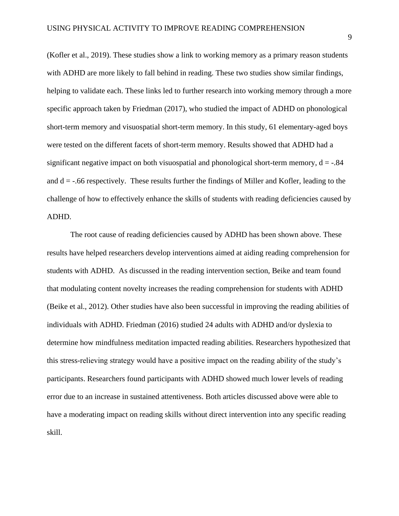(Kofler et al., 2019). These studies show a link to working memory as a primary reason students with ADHD are more likely to fall behind in reading. These two studies show similar findings, helping to validate each. These links led to further research into working memory through a more specific approach taken by Friedman (2017), who studied the impact of ADHD on phonological short-term memory and visuospatial short-term memory. In this study, 61 elementary-aged boys were tested on the different facets of short-term memory. Results showed that ADHD had a significant negative impact on both visuospatial and phonological short-term memory,  $d = -0.84$ and  $d = -0.66$  respectively. These results further the findings of Miller and Kofler, leading to the challenge of how to effectively enhance the skills of students with reading deficiencies caused by ADHD.

The root cause of reading deficiencies caused by ADHD has been shown above. These results have helped researchers develop interventions aimed at aiding reading comprehension for students with ADHD. As discussed in the reading intervention section, Beike and team found that modulating content novelty increases the reading comprehension for students with ADHD (Beike et al., 2012). Other studies have also been successful in improving the reading abilities of individuals with ADHD. Friedman (2016) studied 24 adults with ADHD and/or dyslexia to determine how mindfulness meditation impacted reading abilities. Researchers hypothesized that this stress-relieving strategy would have a positive impact on the reading ability of the study's participants. Researchers found participants with ADHD showed much lower levels of reading error due to an increase in sustained attentiveness. Both articles discussed above were able to have a moderating impact on reading skills without direct intervention into any specific reading skill.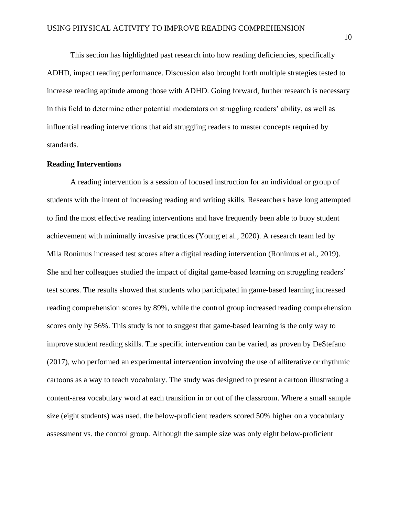This section has highlighted past research into how reading deficiencies, specifically ADHD, impact reading performance. Discussion also brought forth multiple strategies tested to increase reading aptitude among those with ADHD. Going forward, further research is necessary in this field to determine other potential moderators on struggling readers' ability, as well as influential reading interventions that aid struggling readers to master concepts required by standards.

#### <span id="page-10-0"></span>**Reading Interventions**

A reading intervention is a session of focused instruction for an individual or group of students with the intent of increasing reading and writing skills. Researchers have long attempted to find the most effective reading interventions and have frequently been able to buoy student achievement with minimally invasive practices (Young et al., 2020). A research team led by Mila Ronimus increased test scores after a digital reading intervention (Ronimus et al., 2019). She and her colleagues studied the impact of digital game-based learning on struggling readers' test scores. The results showed that students who participated in game-based learning increased reading comprehension scores by 89%, while the control group increased reading comprehension scores only by 56%. This study is not to suggest that game-based learning is the only way to improve student reading skills. The specific intervention can be varied, as proven by DeStefano (2017), who performed an experimental intervention involving the use of alliterative or rhythmic cartoons as a way to teach vocabulary. The study was designed to present a cartoon illustrating a content-area vocabulary word at each transition in or out of the classroom. Where a small sample size (eight students) was used, the below-proficient readers scored 50% higher on a vocabulary assessment vs. the control group. Although the sample size was only eight below-proficient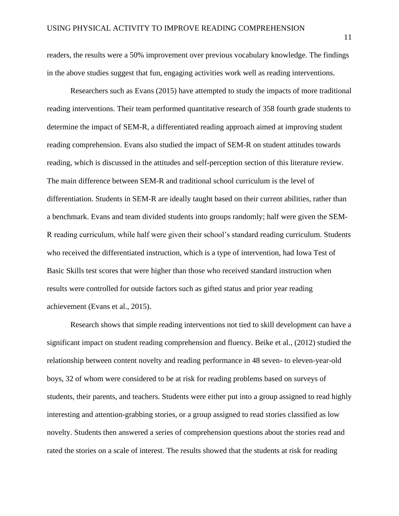readers, the results were a 50% improvement over previous vocabulary knowledge. The findings in the above studies suggest that fun, engaging activities work well as reading interventions.

Researchers such as Evans (2015) have attempted to study the impacts of more traditional reading interventions. Their team performed quantitative research of 358 fourth grade students to determine the impact of SEM-R, a differentiated reading approach aimed at improving student reading comprehension. Evans also studied the impact of SEM-R on student attitudes towards reading, which is discussed in the attitudes and self-perception section of this literature review. The main difference between SEM-R and traditional school curriculum is the level of differentiation. Students in SEM-R are ideally taught based on their current abilities, rather than a benchmark. Evans and team divided students into groups randomly; half were given the SEM-R reading curriculum, while half were given their school's standard reading curriculum. Students who received the differentiated instruction, which is a type of intervention, had Iowa Test of Basic Skills test scores that were higher than those who received standard instruction when results were controlled for outside factors such as gifted status and prior year reading achievement (Evans et al., 2015).

Research shows that simple reading interventions not tied to skill development can have a significant impact on student reading comprehension and fluency. Beike et al., (2012) studied the relationship between content novelty and reading performance in 48 seven- to eleven-year-old boys, 32 of whom were considered to be at risk for reading problems based on surveys of students, their parents, and teachers. Students were either put into a group assigned to read highly interesting and attention-grabbing stories, or a group assigned to read stories classified as low novelty. Students then answered a series of comprehension questions about the stories read and rated the stories on a scale of interest. The results showed that the students at risk for reading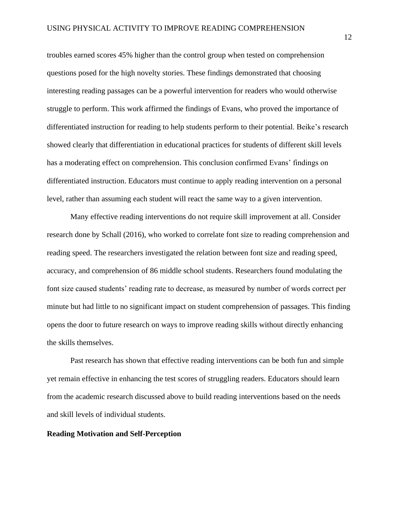troubles earned scores 45% higher than the control group when tested on comprehension questions posed for the high novelty stories. These findings demonstrated that choosing interesting reading passages can be a powerful intervention for readers who would otherwise struggle to perform. This work affirmed the findings of Evans, who proved the importance of differentiated instruction for reading to help students perform to their potential. Beike's research showed clearly that differentiation in educational practices for students of different skill levels has a moderating effect on comprehension. This conclusion confirmed Evans' findings on differentiated instruction. Educators must continue to apply reading intervention on a personal level, rather than assuming each student will react the same way to a given intervention.

Many effective reading interventions do not require skill improvement at all. Consider research done by Schall (2016), who worked to correlate font size to reading comprehension and reading speed. The researchers investigated the relation between font size and reading speed, accuracy, and comprehension of 86 middle school students. Researchers found modulating the font size caused students' reading rate to decrease, as measured by number of words correct per minute but had little to no significant impact on student comprehension of passages. This finding opens the door to future research on ways to improve reading skills without directly enhancing the skills themselves.

Past research has shown that effective reading interventions can be both fun and simple yet remain effective in enhancing the test scores of struggling readers. Educators should learn from the academic research discussed above to build reading interventions based on the needs and skill levels of individual students.

## <span id="page-12-0"></span>**Reading Motivation and Self-Perception**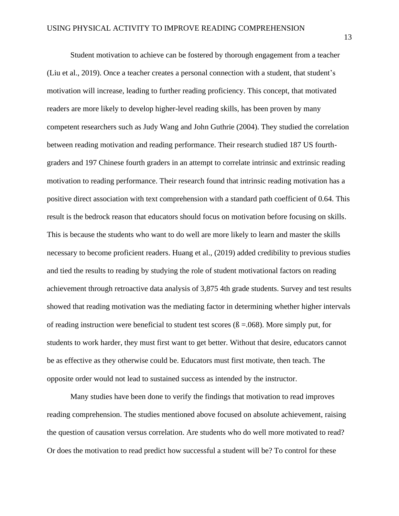Student motivation to achieve can be fostered by thorough engagement from a teacher (Liu et al., 2019). Once a teacher creates a personal connection with a student, that student's motivation will increase, leading to further reading proficiency. This concept, that motivated readers are more likely to develop higher-level reading skills, has been proven by many competent researchers such as Judy Wang and John Guthrie (2004). They studied the correlation between reading motivation and reading performance. Their research studied 187 US fourthgraders and 197 Chinese fourth graders in an attempt to correlate intrinsic and extrinsic reading motivation to reading performance. Their research found that intrinsic reading motivation has a positive direct association with text comprehension with a standard path coefficient of 0.64. This result is the bedrock reason that educators should focus on motivation before focusing on skills. This is because the students who want to do well are more likely to learn and master the skills necessary to become proficient readers. Huang et al., (2019) added credibility to previous studies and tied the results to reading by studying the role of student motivational factors on reading achievement through retroactive data analysis of 3,875 4th grade students. Survey and test results showed that reading motivation was the mediating factor in determining whether higher intervals of reading instruction were beneficial to student test scores  $(\beta = .068)$ . More simply put, for students to work harder, they must first want to get better. Without that desire, educators cannot be as effective as they otherwise could be. Educators must first motivate, then teach. The opposite order would not lead to sustained success as intended by the instructor.

Many studies have been done to verify the findings that motivation to read improves reading comprehension. The studies mentioned above focused on absolute achievement, raising the question of causation versus correlation. Are students who do well more motivated to read? Or does the motivation to read predict how successful a student will be? To control for these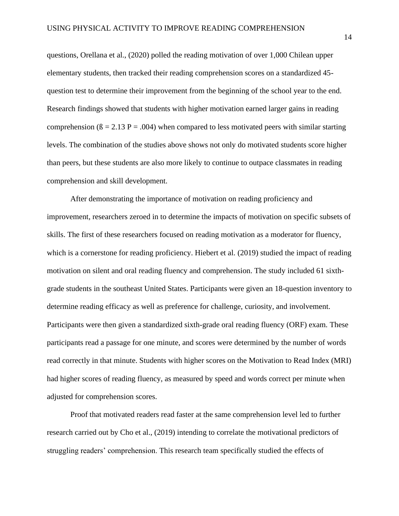questions, Orellana et al., (2020) polled the reading motivation of over 1,000 Chilean upper elementary students, then tracked their reading comprehension scores on a standardized 45 question test to determine their improvement from the beginning of the school year to the end. Research findings showed that students with higher motivation earned larger gains in reading comprehension ( $\beta = 2.13$  P = .004) when compared to less motivated peers with similar starting levels. The combination of the studies above shows not only do motivated students score higher than peers, but these students are also more likely to continue to outpace classmates in reading comprehension and skill development.

After demonstrating the importance of motivation on reading proficiency and improvement, researchers zeroed in to determine the impacts of motivation on specific subsets of skills. The first of these researchers focused on reading motivation as a moderator for fluency, which is a cornerstone for reading proficiency. Hiebert et al. (2019) studied the impact of reading motivation on silent and oral reading fluency and comprehension. The study included 61 sixthgrade students in the southeast United States. Participants were given an 18-question inventory to determine reading efficacy as well as preference for challenge, curiosity, and involvement. Participants were then given a standardized sixth-grade oral reading fluency (ORF) exam. These participants read a passage for one minute, and scores were determined by the number of words read correctly in that minute. Students with higher scores on the Motivation to Read Index (MRI) had higher scores of reading fluency, as measured by speed and words correct per minute when adjusted for comprehension scores.

Proof that motivated readers read faster at the same comprehension level led to further research carried out by Cho et al., (2019) intending to correlate the motivational predictors of struggling readers' comprehension. This research team specifically studied the effects of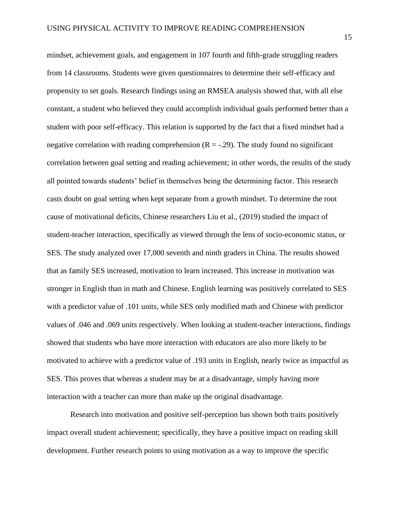mindset, achievement goals, and engagement in 107 fourth and fifth-grade struggling readers from 14 classrooms. Students were given questionnaires to determine their self-efficacy and propensity to set goals. Research findings using an RMSEA analysis showed that, with all else constant, a student who believed they could accomplish individual goals performed better than a student with poor self-efficacy. This relation is supported by the fact that a fixed mindset had a negative correlation with reading comprehension  $(R = -0.29)$ . The study found no significant correlation between goal setting and reading achievement; in other words, the results of the study all pointed towards students' belief in themselves being the determining factor. This research casts doubt on goal setting when kept separate from a growth mindset. To determine the root cause of motivational deficits, Chinese researchers Liu et al., (2019) studied the impact of student-teacher interaction, specifically as viewed through the lens of socio-economic status, or SES. The study analyzed over 17,000 seventh and ninth graders in China. The results showed that as family SES increased, motivation to learn increased. This increase in motivation was stronger in English than in math and Chinese. English learning was positively correlated to SES with a predictor value of .101 units, while SES only modified math and Chinese with predictor values of .046 and .069 units respectively. When looking at student-teacher interactions, findings showed that students who have more interaction with educators are also more likely to be motivated to achieve with a predictor value of .193 units in English, nearly twice as impactful as SES. This proves that whereas a student may be at a disadvantage, simply having more interaction with a teacher can more than make up the original disadvantage.

Research into motivation and positive self-perception has shown both traits positively impact overall student achievement; specifically, they have a positive impact on reading skill development. Further research points to using motivation as a way to improve the specific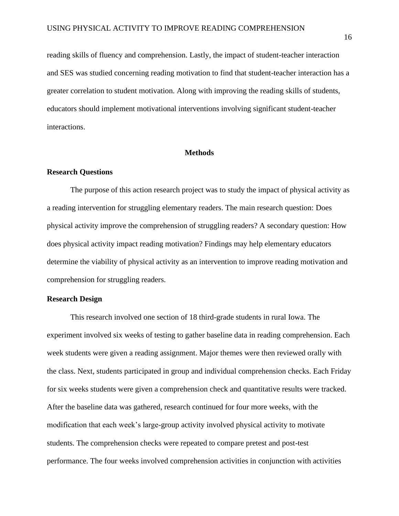reading skills of fluency and comprehension. Lastly, the impact of student-teacher interaction and SES was studied concerning reading motivation to find that student-teacher interaction has a greater correlation to student motivation. Along with improving the reading skills of students, educators should implement motivational interventions involving significant student-teacher interactions.

#### **Methods**

# <span id="page-16-1"></span><span id="page-16-0"></span>**Research Questions**

The purpose of this action research project was to study the impact of physical activity as a reading intervention for struggling elementary readers. The main research question: Does physical activity improve the comprehension of struggling readers? A secondary question: How does physical activity impact reading motivation? Findings may help elementary educators determine the viability of physical activity as an intervention to improve reading motivation and comprehension for struggling readers.

# <span id="page-16-2"></span>**Research Design**

This research involved one section of 18 third-grade students in rural Iowa. The experiment involved six weeks of testing to gather baseline data in reading comprehension. Each week students were given a reading assignment. Major themes were then reviewed orally with the class. Next, students participated in group and individual comprehension checks. Each Friday for six weeks students were given a comprehension check and quantitative results were tracked. After the baseline data was gathered, research continued for four more weeks, with the modification that each week's large-group activity involved physical activity to motivate students. The comprehension checks were repeated to compare pretest and post-test performance. The four weeks involved comprehension activities in conjunction with activities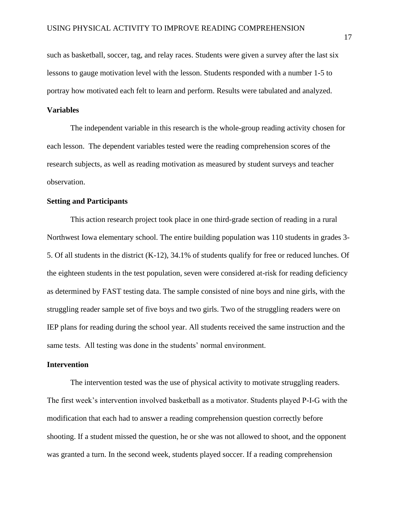such as basketball, soccer, tag, and relay races. Students were given a survey after the last six lessons to gauge motivation level with the lesson. Students responded with a number 1-5 to portray how motivated each felt to learn and perform. Results were tabulated and analyzed.

### <span id="page-17-0"></span>**Variables**

The independent variable in this research is the whole-group reading activity chosen for each lesson. The dependent variables tested were the reading comprehension scores of the research subjects, as well as reading motivation as measured by student surveys and teacher observation.

### <span id="page-17-1"></span>**Setting and Participants**

This action research project took place in one third-grade section of reading in a rural Northwest Iowa elementary school. The entire building population was 110 students in grades 3- 5. Of all students in the district (K-12), 34.1% of students qualify for free or reduced lunches. Of the eighteen students in the test population, seven were considered at-risk for reading deficiency as determined by FAST testing data. The sample consisted of nine boys and nine girls, with the struggling reader sample set of five boys and two girls. Two of the struggling readers were on IEP plans for reading during the school year. All students received the same instruction and the same tests. All testing was done in the students' normal environment.

### <span id="page-17-2"></span>**Intervention**

The intervention tested was the use of physical activity to motivate struggling readers. The first week's intervention involved basketball as a motivator. Students played P-I-G with the modification that each had to answer a reading comprehension question correctly before shooting. If a student missed the question, he or she was not allowed to shoot, and the opponent was granted a turn. In the second week, students played soccer. If a reading comprehension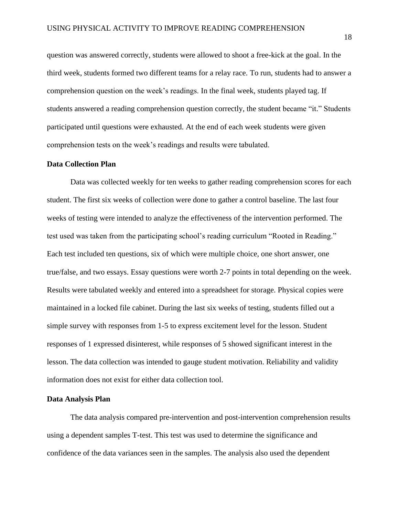question was answered correctly, students were allowed to shoot a free-kick at the goal. In the third week, students formed two different teams for a relay race. To run, students had to answer a comprehension question on the week's readings. In the final week, students played tag. If students answered a reading comprehension question correctly, the student became "it." Students participated until questions were exhausted. At the end of each week students were given comprehension tests on the week's readings and results were tabulated.

#### <span id="page-18-0"></span>**Data Collection Plan**

Data was collected weekly for ten weeks to gather reading comprehension scores for each student. The first six weeks of collection were done to gather a control baseline. The last four weeks of testing were intended to analyze the effectiveness of the intervention performed. The test used was taken from the participating school's reading curriculum "Rooted in Reading." Each test included ten questions, six of which were multiple choice, one short answer, one true/false, and two essays. Essay questions were worth 2-7 points in total depending on the week. Results were tabulated weekly and entered into a spreadsheet for storage. Physical copies were maintained in a locked file cabinet. During the last six weeks of testing, students filled out a simple survey with responses from 1-5 to express excitement level for the lesson. Student responses of 1 expressed disinterest, while responses of 5 showed significant interest in the lesson. The data collection was intended to gauge student motivation. Reliability and validity information does not exist for either data collection tool.

### <span id="page-18-1"></span>**Data Analysis Plan**

The data analysis compared pre-intervention and post-intervention comprehension results using a dependent samples T-test. This test was used to determine the significance and confidence of the data variances seen in the samples. The analysis also used the dependent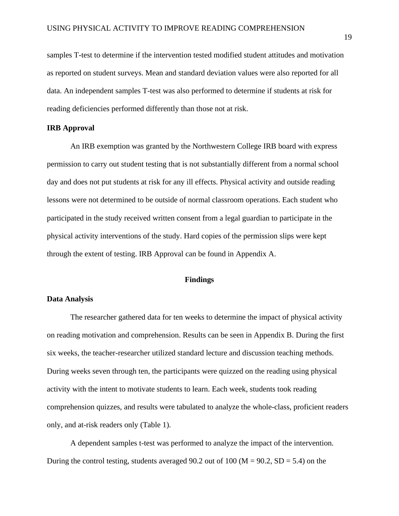samples T-test to determine if the intervention tested modified student attitudes and motivation as reported on student surveys. Mean and standard deviation values were also reported for all data. An independent samples T-test was also performed to determine if students at risk for reading deficiencies performed differently than those not at risk.

## <span id="page-19-0"></span>**IRB Approval**

An IRB exemption was granted by the Northwestern College IRB board with express permission to carry out student testing that is not substantially different from a normal school day and does not put students at risk for any ill effects. Physical activity and outside reading lessons were not determined to be outside of normal classroom operations. Each student who participated in the study received written consent from a legal guardian to participate in the physical activity interventions of the study. Hard copies of the permission slips were kept through the extent of testing. IRB Approval can be found in Appendix A.

## **Findings**

## <span id="page-19-2"></span><span id="page-19-1"></span>**Data Analysis**

The researcher gathered data for ten weeks to determine the impact of physical activity on reading motivation and comprehension. Results can be seen in Appendix B. During the first six weeks, the teacher-researcher utilized standard lecture and discussion teaching methods. During weeks seven through ten, the participants were quizzed on the reading using physical activity with the intent to motivate students to learn. Each week, students took reading comprehension quizzes, and results were tabulated to analyze the whole-class, proficient readers only, and at-risk readers only (Table 1).

A dependent samples t-test was performed to analyze the impact of the intervention. During the control testing, students averaged 90.2 out of 100 ( $M = 90.2$ ,  $SD = 5.4$ ) on the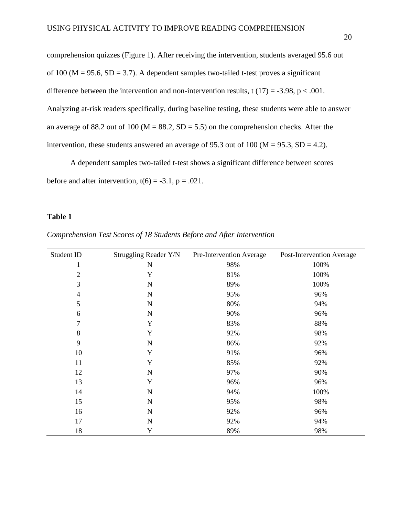comprehension quizzes (Figure 1). After receiving the intervention, students averaged 95.6 out of 100 ( $M = 95.6$ ,  $SD = 3.7$ ). A dependent samples two-tailed t-test proves a significant difference between the intervention and non-intervention results, t  $(17) = -3.98$ , p < .001. Analyzing at-risk readers specifically, during baseline testing, these students were able to answer an average of 88.2 out of 100 ( $M = 88.2$ ,  $SD = 5.5$ ) on the comprehension checks. After the intervention, these students answered an average of 95.3 out of 100 ( $M = 95.3$ ,  $SD = 4.2$ ).

A dependent samples two-tailed t-test shows a significant difference between scores before and after intervention,  $t(6) = -3.1$ ,  $p = .021$ .

# **Table 1**

*Comprehension Test Scores of 18 Students Before and After Intervention*

| Student ID     | Struggling Reader Y/N | Pre-Intervention Average | Post-Intervention Average |
|----------------|-----------------------|--------------------------|---------------------------|
| 1              | $\mathbf N$           | 98%                      | 100%                      |
| $\overline{c}$ | Y                     | 81%                      | 100%                      |
| 3              | $\mathbf N$           | 89%                      | 100%                      |
| $\overline{4}$ | $\mathbf N$           | 95%                      | 96%                       |
| 5              | $\mathbf N$           | 80%                      | 94%                       |
| 6              | $\mathbf N$           | 90%                      | 96%                       |
| 7              | Y                     | 83%                      | 88%                       |
| 8              | Y                     | 92%                      | 98%                       |
| 9              | $\mathbf N$           | 86%                      | 92%                       |
| 10             | Y                     | 91%                      | 96%                       |
| 11             | Y                     | 85%                      | 92%                       |
| 12             | $\mathbf N$           | 97%                      | 90%                       |
| 13             | Y                     | 96%                      | 96%                       |
| 14             | $\mathbf N$           | 94%                      | 100%                      |
| 15             | $\mathbf N$           | 95%                      | 98%                       |
| 16             | $\mathbf N$           | 92%                      | 96%                       |
| 17             | $\mathbf N$           | 92%                      | 94%                       |
| 18             | Y                     | 89%                      | 98%                       |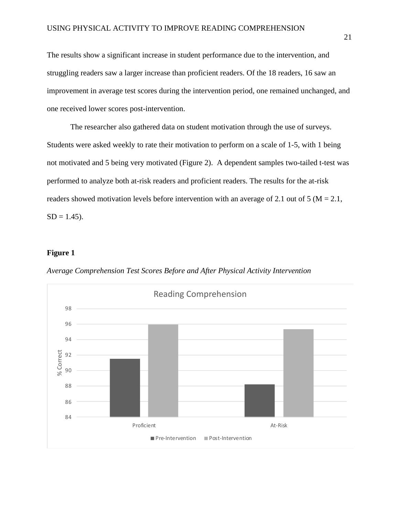The results show a significant increase in student performance due to the intervention, and struggling readers saw a larger increase than proficient readers. Of the 18 readers, 16 saw an improvement in average test scores during the intervention period, one remained unchanged, and one received lower scores post-intervention.

The researcher also gathered data on student motivation through the use of surveys. Students were asked weekly to rate their motivation to perform on a scale of 1-5, with 1 being not motivated and 5 being very motivated (Figure 2). A dependent samples two-tailed t-test was performed to analyze both at-risk readers and proficient readers. The results for the at-risk readers showed motivation levels before intervention with an average of 2.1 out of 5 ( $M = 2.1$ ,  $SD = 1.45$ ).

# **Figure 1**

*Average Comprehension Test Scores Before and After Physical Activity Intervention*

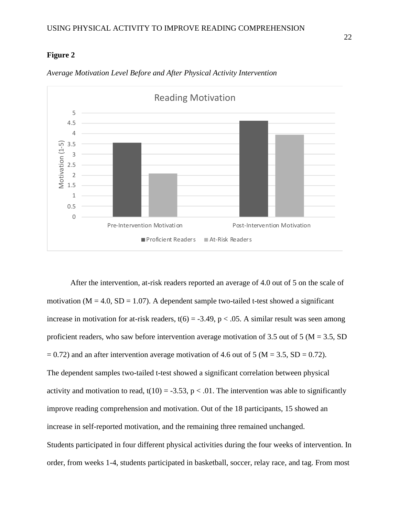# **Figure 2**



*Average Motivation Level Before and After Physical Activity Intervention*

After the intervention, at-risk readers reported an average of 4.0 out of 5 on the scale of motivation ( $M = 4.0$ ,  $SD = 1.07$ ). A dependent sample two-tailed t-test showed a significant increase in motivation for at-risk readers,  $t(6) = -3.49$ ,  $p < .05$ . A similar result was seen among proficient readers, who saw before intervention average motivation of 3.5 out of 5 ( $M = 3.5$ , SD  $= 0.72$ ) and an after intervention average motivation of 4.6 out of 5 (M = 3.5, SD = 0.72). The dependent samples two-tailed t-test showed a significant correlation between physical activity and motivation to read,  $t(10) = -3.53$ ,  $p < .01$ . The intervention was able to significantly improve reading comprehension and motivation. Out of the 18 participants, 15 showed an increase in self-reported motivation, and the remaining three remained unchanged. Students participated in four different physical activities during the four weeks of intervention. In order, from weeks 1-4, students participated in basketball, soccer, relay race, and tag. From most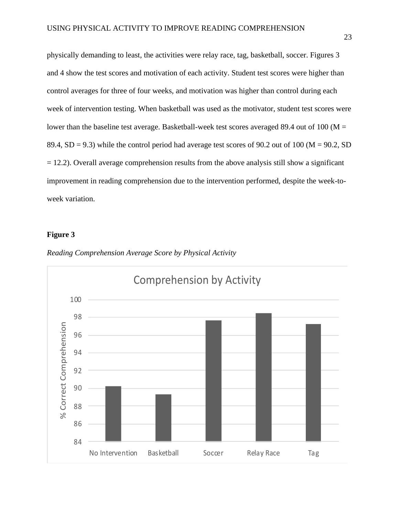physically demanding to least, the activities were relay race, tag, basketball, soccer. Figures 3 and 4 show the test scores and motivation of each activity. Student test scores were higher than control averages for three of four weeks, and motivation was higher than control during each week of intervention testing. When basketball was used as the motivator, student test scores were lower than the baseline test average. Basketball-week test scores averaged 89.4 out of 100 ( $M =$ 89.4, SD = 9.3) while the control period had average test scores of 90.2 out of 100 ( $M = 90.2$ , SD  $= 12.2$ ). Overall average comprehension results from the above analysis still show a significant improvement in reading comprehension due to the intervention performed, despite the week-toweek variation.

## **Figure 3**



*Reading Comprehension Average Score by Physical Activity*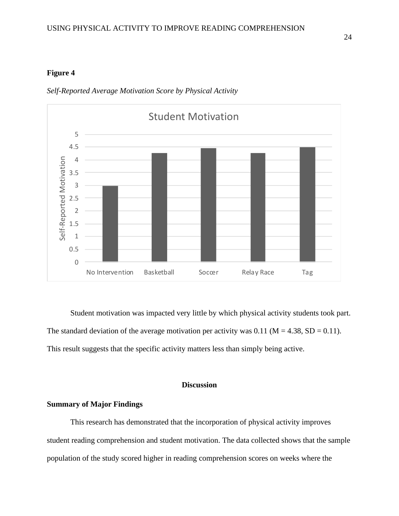# **Figure 4**



*Self-Reported Average Motivation Score by Physical Activity*

Student motivation was impacted very little by which physical activity students took part. The standard deviation of the average motivation per activity was  $0.11$  (M = 4.38, SD = 0.11). This result suggests that the specific activity matters less than simply being active.

# **Discussion**

## <span id="page-24-0"></span>**Summary of Major Findings**

This research has demonstrated that the incorporation of physical activity improves student reading comprehension and student motivation. The data collected shows that the sample population of the study scored higher in reading comprehension scores on weeks where the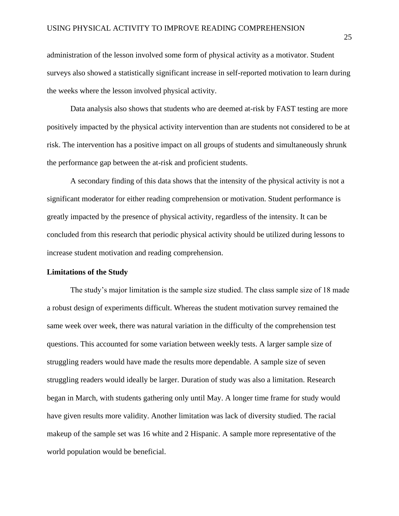administration of the lesson involved some form of physical activity as a motivator. Student surveys also showed a statistically significant increase in self-reported motivation to learn during the weeks where the lesson involved physical activity.

Data analysis also shows that students who are deemed at-risk by FAST testing are more positively impacted by the physical activity intervention than are students not considered to be at risk. The intervention has a positive impact on all groups of students and simultaneously shrunk the performance gap between the at-risk and proficient students.

A secondary finding of this data shows that the intensity of the physical activity is not a significant moderator for either reading comprehension or motivation. Student performance is greatly impacted by the presence of physical activity, regardless of the intensity. It can be concluded from this research that periodic physical activity should be utilized during lessons to increase student motivation and reading comprehension.

#### <span id="page-25-0"></span>**Limitations of the Study**

The study's major limitation is the sample size studied. The class sample size of 18 made a robust design of experiments difficult. Whereas the student motivation survey remained the same week over week, there was natural variation in the difficulty of the comprehension test questions. This accounted for some variation between weekly tests. A larger sample size of struggling readers would have made the results more dependable. A sample size of seven struggling readers would ideally be larger. Duration of study was also a limitation. Research began in March, with students gathering only until May. A longer time frame for study would have given results more validity. Another limitation was lack of diversity studied. The racial makeup of the sample set was 16 white and 2 Hispanic. A sample more representative of the world population would be beneficial.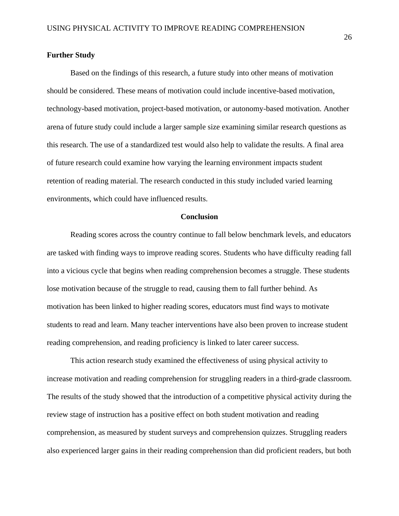## <span id="page-26-0"></span>**Further Study**

Based on the findings of this research, a future study into other means of motivation should be considered. These means of motivation could include incentive-based motivation, technology-based motivation, project-based motivation, or autonomy-based motivation. Another arena of future study could include a larger sample size examining similar research questions as this research. The use of a standardized test would also help to validate the results. A final area of future research could examine how varying the learning environment impacts student retention of reading material. The research conducted in this study included varied learning environments, which could have influenced results.

#### **Conclusion**

Reading scores across the country continue to fall below benchmark levels, and educators are tasked with finding ways to improve reading scores. Students who have difficulty reading fall into a vicious cycle that begins when reading comprehension becomes a struggle. These students lose motivation because of the struggle to read, causing them to fall further behind. As motivation has been linked to higher reading scores, educators must find ways to motivate students to read and learn. Many teacher interventions have also been proven to increase student reading comprehension, and reading proficiency is linked to later career success.

This action research study examined the effectiveness of using physical activity to increase motivation and reading comprehension for struggling readers in a third-grade classroom. The results of the study showed that the introduction of a competitive physical activity during the review stage of instruction has a positive effect on both student motivation and reading comprehension, as measured by student surveys and comprehension quizzes. Struggling readers also experienced larger gains in their reading comprehension than did proficient readers, but both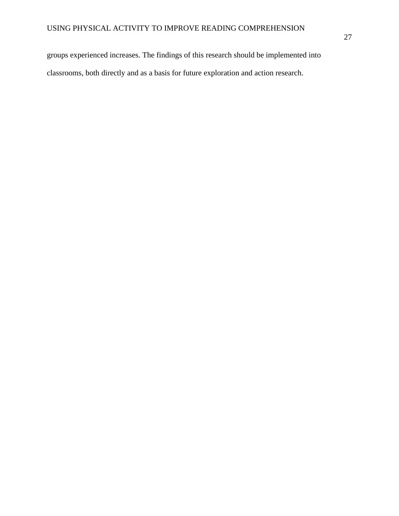groups experienced increases. The findings of this research should be implemented into classrooms, both directly and as a basis for future exploration and action research.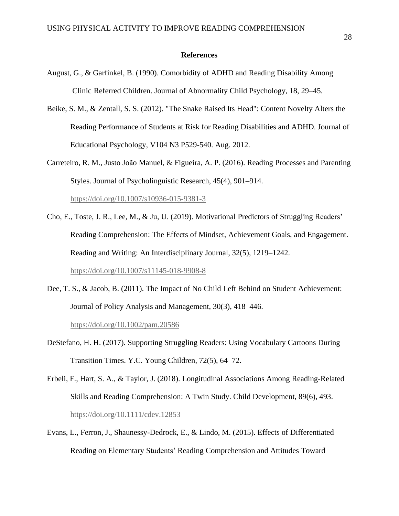#### **References**

- <span id="page-28-0"></span>August, G., & Garfinkel, B. (1990). Comorbidity of ADHD and Reading Disability Among Clinic Referred Children. Journal of Abnormality Child Psychology, 18, 29–45.
- Beike, S. M., & Zentall, S. S. (2012). "The Snake Raised Its Head": Content Novelty Alters the Reading Performance of Students at Risk for Reading Disabilities and ADHD. Journal of Educational Psychology, V104 N3 P529-540. Aug. 2012.
- Carreteiro, R. M., Justo João Manuel, & Figueira, A. P. (2016). Reading Processes and Parenting Styles. Journal of Psycholinguistic Research, 45(4), 901–914.

<https://doi.org/10.1007/s10936-015-9381-3>

Cho, E., Toste, J. R., Lee, M., & Ju, U. (2019). Motivational Predictors of Struggling Readers' Reading Comprehension: The Effects of Mindset, Achievement Goals, and Engagement. Reading and Writing: An Interdisciplinary Journal, 32(5), 1219–1242.

<https://doi.org/10.1007/s11145-018-9908-8>

Dee, T. S., & Jacob, B. (2011). The Impact of No Child Left Behind on Student Achievement: Journal of Policy Analysis and Management, 30(3), 418–446.

<https://doi.org/10.1002/pam.20586>

- DeStefano, H. H. (2017). Supporting Struggling Readers: Using Vocabulary Cartoons During Transition Times. Y.C. Young Children, 72(5), 64–72.
- Erbeli, F., Hart, S. A., & Taylor, J. (2018). Longitudinal Associations Among Reading-Related Skills and Reading Comprehension: A Twin Study. Child Development, 89(6), 493. <https://doi.org/10.1111/cdev.12853>
- Evans, L., Ferron, J., Shaunessy-Dedrock, E., & Lindo, M. (2015). Effects of Differentiated Reading on Elementary Students' Reading Comprehension and Attitudes Toward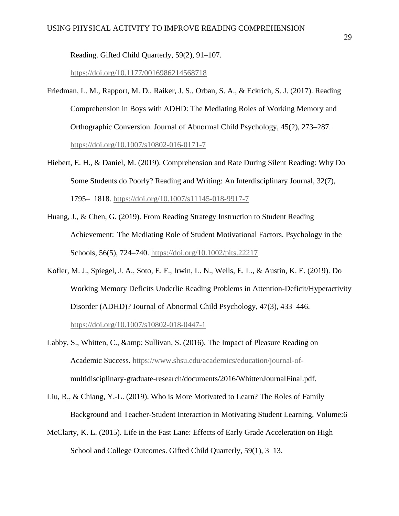Reading. Gifted Child Quarterly, 59(2), 91–107.

<https://doi.org/10.1177/0016986214568718>

- Friedman, L. M., Rapport, M. D., Raiker, J. S., Orban, S. A., & Eckrich, S. J. (2017). Reading Comprehension in Boys with ADHD: The Mediating Roles of Working Memory and Orthographic Conversion. Journal of Abnormal Child Psychology, 45(2), 273–287. <https://doi.org/10.1007/s10802-016-0171-7>
- Hiebert, E. H., & Daniel, M. (2019). Comprehension and Rate During Silent Reading: Why Do Some Students do Poorly? Reading and Writing: An Interdisciplinary Journal, 32(7), 1795– 1818.<https://doi.org/10.1007/s11145-018-9917-7>
- Huang, J., & Chen, G. (2019). From Reading Strategy Instruction to Student Reading Achievement: The Mediating Role of Student Motivational Factors. Psychology in the Schools, 56(5), 724–740.<https://doi.org/10.1002/pits.22217>
- Kofler, M. J., Spiegel, J. A., Soto, E. F., Irwin, L. N., Wells, E. L., & Austin, K. E. (2019). Do Working Memory Deficits Underlie Reading Problems in Attention-Deficit/Hyperactivity Disorder (ADHD)? Journal of Abnormal Child Psychology, 47(3), 433–446. <https://doi.org/10.1007/s10802-018-0447-1>
- Labby, S., Whitten, C., & amp; Sullivan, S. (2016). The Impact of Pleasure Reading on Academic Success. [https://www.shsu.edu/academics/education/journal-of](https://www.shsu.edu/academics/education/journal-of-)multidisciplinary-graduate-research/documents/2016/WhittenJournalFinal.pdf.
- Liu, R., & Chiang, Y.-L. (2019). Who is More Motivated to Learn? The Roles of Family Background and Teacher-Student Interaction in Motivating Student Learning, Volume:6
- McClarty, K. L. (2015). Life in the Fast Lane: Effects of Early Grade Acceleration on High School and College Outcomes. Gifted Child Quarterly, 59(1), 3–13.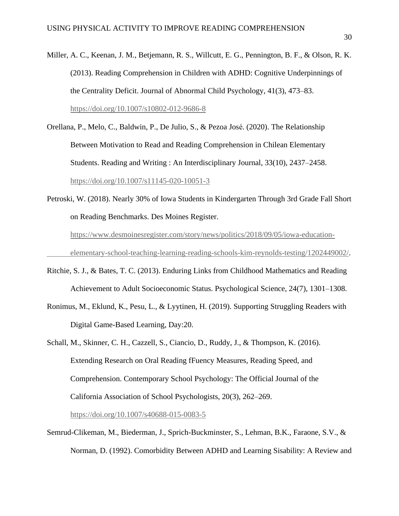- Miller, A. C., Keenan, J. M., Betjemann, R. S., Willcutt, E. G., Pennington, B. F., & Olson, R. K. (2013). Reading Comprehension in Children with ADHD: Cognitive Underpinnings of the Centrality Deficit. Journal of Abnormal Child Psychology, 41(3), 473–83. <https://doi.org/10.1007/s10802-012-9686-8>
- Orellana, P., Melo, C., Baldwin, P., De Julio, S., & Pezoa José. (2020). The Relationship Between Motivation to Read and Reading Comprehension in Chilean Elementary Students. Reading and Writing : An Interdisciplinary Journal, 33(10), 2437–2458. <https://doi.org/10.1007/s11145-020-10051-3>
- Petroski, W. (2018). Nearly 30% of Iowa Students in Kindergarten Through 3rd Grade Fall Short on Reading Benchmarks. Des Moines Register. [https://www.desmoinesregister.com/story/news/politics/2018/09/05/iowa-education](https://www.desmoinesregister.com/story/news/politics/2018/09/05/iowa-education-%09elementary-school-teaching-learning-reading-schools-kim-reynolds-testing/1202449002/)[elementary-school-teaching-learning-reading-schools-kim-reynolds-testing/1202449002/.](https://www.desmoinesregister.com/story/news/politics/2018/09/05/iowa-education-%09elementary-school-teaching-learning-reading-schools-kim-reynolds-testing/1202449002/)
- Ritchie, S. J., & Bates, T. C. (2013). Enduring Links from Childhood Mathematics and Reading Achievement to Adult Socioeconomic Status. Psychological Science, 24(7), 1301–1308.
- Ronimus, M., Eklund, K., Pesu, L., & Lyytinen, H. (2019). Supporting Struggling Readers with Digital Game-Based Learning, Day:20.
- Schall, M., Skinner, C. H., Cazzell, S., Ciancio, D., Ruddy, J., & Thompson, K. (2016). Extending Research on Oral Reading fFuency Measures, Reading Speed, and Comprehension. Contemporary School Psychology: The Official Journal of the California Association of School Psychologists, 20(3), 262–269.

<https://doi.org/10.1007/s40688-015-0083-5>

Semrud-Clikeman, M., Biederman, J., Sprich-Buckminster, S., Lehman, B.K., Faraone, S.V., & Norman, D. (1992). Comorbidity Between ADHD and Learning Sisability: A Review and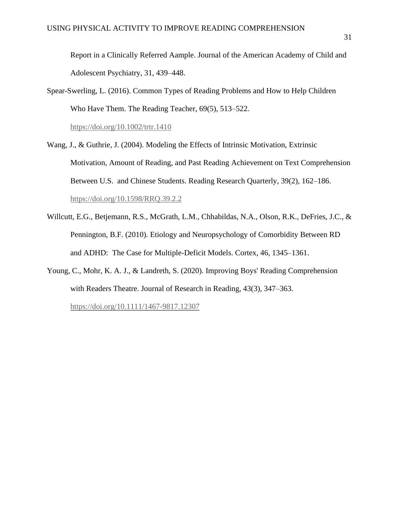Report in a Clinically Referred Aample. Journal of the American Academy of Child and Adolescent Psychiatry, 31, 439–448.

Spear-Swerling, L. (2016). Common Types of Reading Problems and How to Help Children Who Have Them. The Reading Teacher, 69(5), 513–522.

<https://doi.org/10.1002/trtr.1410>

- Wang, J., & Guthrie, J. (2004). Modeling the Effects of Intrinsic Motivation, Extrinsic Motivation, Amount of Reading, and Past Reading Achievement on Text Comprehension Between U.S. and Chinese Students. Reading Research Quarterly, 39(2), 162–186. <https://doi.org/10.1598/RRQ.39.2.2>
- Willcutt, E.G., Betjemann, R.S., McGrath, L.M., Chhabildas, N.A., Olson, R.K., DeFries, J.C., & Pennington, B.F. (2010). Etiology and Neuropsychology of Comorbidity Between RD and ADHD: The Case for Multiple-Deficit Models. Cortex, 46, 1345–1361.
- Young, C., Mohr, K. A. J., & Landreth, S. (2020). Improving Boys' Reading Comprehension with Readers Theatre. Journal of Research in Reading, 43(3), 347–363.

<https://doi.org/10.1111/1467-9817.12307>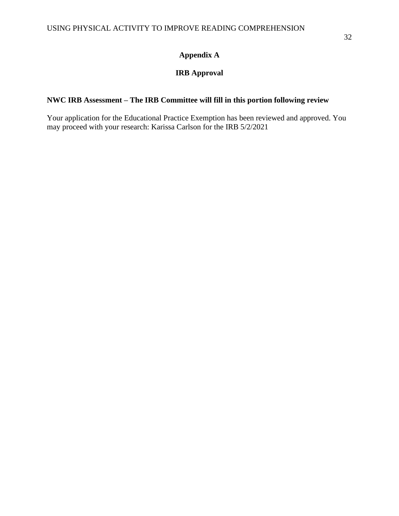# **Appendix A**

# **IRB Approval**

# <span id="page-32-0"></span>**NWC IRB Assessment – The IRB Committee will fill in this portion following review**

Your application for the Educational Practice Exemption has been reviewed and approved. You may proceed with your research: Karissa Carlson for the IRB 5/2/2021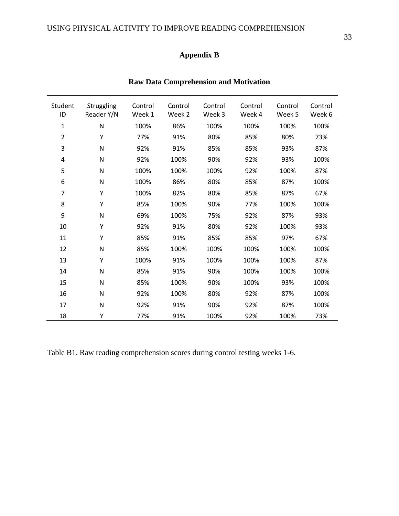# **Appendix B**

<span id="page-33-0"></span>

| Student<br>ID  | Struggling<br>Reader Y/N | Control<br>Week 1 | Control<br>Week 2 | Control<br>Week 3 | Control<br>Week 4 | Control<br>Week 5 | Control<br>Week 6 |
|----------------|--------------------------|-------------------|-------------------|-------------------|-------------------|-------------------|-------------------|
| 1              | $\mathsf{N}$             | 100%              | 86%               | 100%              | 100%              | 100%              | 100%              |
| $\overline{2}$ | Y                        | 77%               | 91%               | 80%               | 85%               | 80%               | 73%               |
| 3              | $\mathsf{N}$             | 92%               | 91%               | 85%               | 85%               | 93%               | 87%               |
| 4              | N                        | 92%               | 100%              | 90%               | 92%               | 93%               | 100%              |
| 5              | N                        | 100%              | 100%              | 100%              | 92%               | 100%              | 87%               |
| 6              | N                        | 100%              | 86%               | 80%               | 85%               | 87%               | 100%              |
| 7              | Υ                        | 100%              | 82%               | 80%               | 85%               | 87%               | 67%               |
| 8              | Υ                        | 85%               | 100%              | 90%               | 77%               | 100%              | 100%              |
| 9              | N                        | 69%               | 100%              | 75%               | 92%               | 87%               | 93%               |
| 10             | Y                        | 92%               | 91%               | 80%               | 92%               | 100%              | 93%               |
| 11             | Y                        | 85%               | 91%               | 85%               | 85%               | 97%               | 67%               |
| 12             | N                        | 85%               | 100%              | 100%              | 100%              | 100%              | 100%              |
| 13             | Y                        | 100%              | 91%               | 100%              | 100%              | 100%              | 87%               |
| 14             | N                        | 85%               | 91%               | 90%               | 100%              | 100%              | 100%              |
| 15             | N                        | 85%               | 100%              | 90%               | 100%              | 93%               | 100%              |
| 16             | N                        | 92%               | 100%              | 80%               | 92%               | 87%               | 100%              |
| 17             | N                        | 92%               | 91%               | 90%               | 92%               | 87%               | 100%              |
| 18             | Y                        | 77%               | 91%               | 100%              | 92%               | 100%              | 73%               |

# **Raw Data Comprehension and Motivation**

Table B1. Raw reading comprehension scores during control testing weeks 1-6.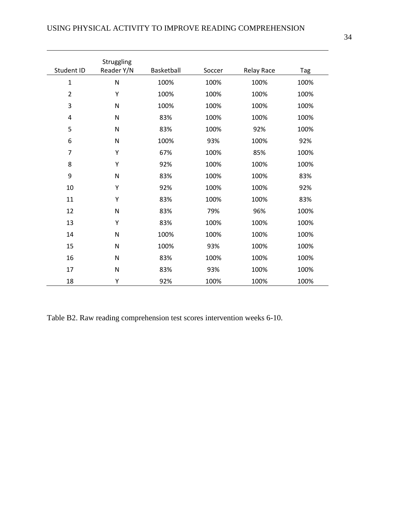| Student ID     | Struggling<br>Reader Y/N | Basketball | Soccer | <b>Relay Race</b> | Tag  |
|----------------|--------------------------|------------|--------|-------------------|------|
| $\mathbf{1}$   | $\overline{\mathsf{N}}$  | 100%       | 100%   | 100%              | 100% |
| $\overline{2}$ | Y                        | 100%       | 100%   | 100%              | 100% |
| 3              | $\mathsf{N}$             | 100%       | 100%   | 100%              | 100% |
| $\overline{4}$ | $\overline{\mathsf{N}}$  | 83%        | 100%   | 100%              | 100% |
| 5              | N                        | 83%        | 100%   | 92%               | 100% |
| 6              | N                        | 100%       | 93%    | 100%              | 92%  |
| 7              | Y                        | 67%        | 100%   | 85%               | 100% |
| 8              | Y                        | 92%        | 100%   | 100%              | 100% |
| 9              | N                        | 83%        | 100%   | 100%              | 83%  |
| 10             | Y                        | 92%        | 100%   | 100%              | 92%  |
| 11             | Y                        | 83%        | 100%   | 100%              | 83%  |
| 12             | N                        | 83%        | 79%    | 96%               | 100% |
| 13             | Y                        | 83%        | 100%   | 100%              | 100% |
| 14             | N                        | 100%       | 100%   | 100%              | 100% |
| 15             | N                        | 100%       | 93%    | 100%              | 100% |
| 16             | N                        | 83%        | 100%   | 100%              | 100% |
| 17             | N                        | 83%        | 93%    | 100%              | 100% |
| 18             | Υ                        | 92%        | 100%   | 100%              | 100% |

Table B2. Raw reading comprehension test scores intervention weeks 6-10.